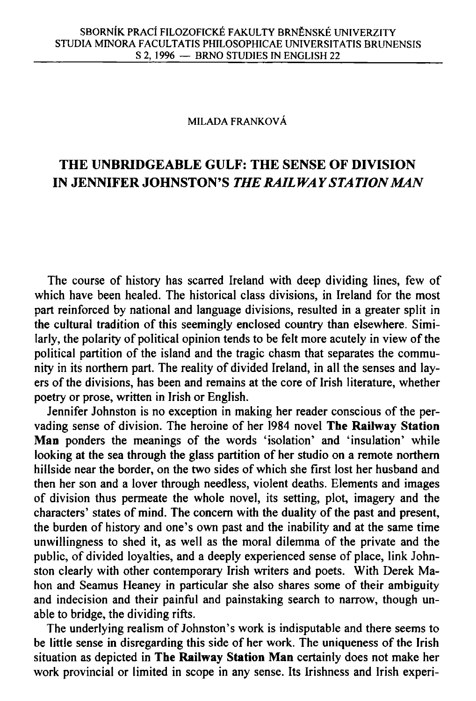## MILADA FRANKOVÁ

## **THE UNBRIDGEABLE GULF: THE SENSE OF DIVISION IN JENNIFER JOHNSTON'S** *THE RAILWAY STATION MAN*

The course of history has scarred Ireland with deep dividing lines, few of which have been healed. The historical class divisions, in Ireland for the most part reinforced by national and language divisions, resulted in a greater split in the cultural tradition of this seemingly enclosed country than elsewhere. Similarly, the polarity of political opinion tends to be felt more acutely in view of the political partition of the island and the tragic chasm that separates the community in its northern part. The reality of divided Ireland, in all the senses and layers of the divisions, has been and remains at the core of Irish literature, whether poetry or prose, written in Irish or English.

Jennifer Johnston is no exception in making her reader conscious of the pervading sense of division. The heroine of her 1984 novel **The Railway Station Man** ponders the meanings of the words 'isolation' and 'insulation' while looking at the sea through the glass partition of her studio on a remote northern hillside near the border, on the two sides of which she first lost her husband and then her son and a lover through needless, violent deaths. Elements and images of division thus permeate the whole novel, its setting, plot, imagery and the characters' states of mind. The concern with the duality of the past and present, the burden of history and one's own past and the inability and at the same time unwillingness to shed it, as well as the moral dilemma of the private and the public, of divided loyalties, and a deeply experienced sense of place, link Johnston clearly with other contemporary Irish writers and poets. With Derek Mahon and Seamus Heaney in particular she also shares some of their ambiguity and indecision and their painful and painstaking search to narrow, though unable to bridge, the dividing rifts.

The underlying realism of Johnston's work is indisputable and there seems to be little sense in disregarding this side of her work. The uniqueness of the Irish situation as depicted in **The Railway Station Man** certainly does not make her work provincial or limited in scope in any sense. Its Irishness and Irish experi-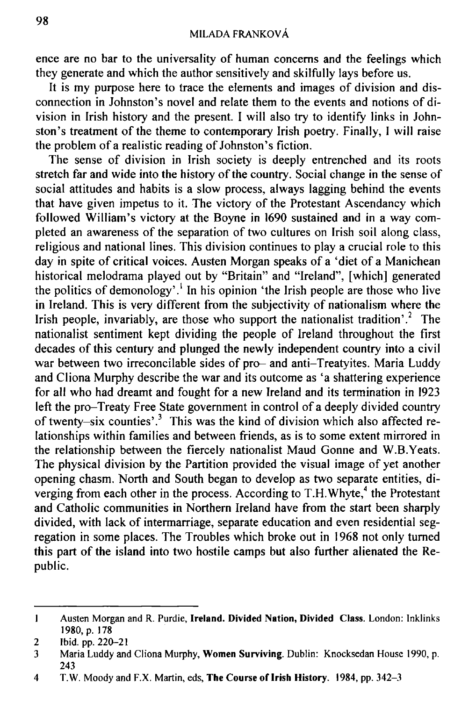ence are no bar to the universality of human concerns and the feelings which they generate and which the author sensitively and skilfully lays before us.

It is my purpose here to trace the elements and images of division and disconnection in Johnston's novel and relate them to the events and notions of division in Irish history and the present. I will also try to identify links in Johnston's treatment of the theme to contemporary Irish poetry. Finally, I will raise the problem of a realistic reading of Johnston's fiction.

The sense of division in Irish society is deeply entrenched and its roots stretch far and wide into the history of the country. Social change in the sense of social attitudes and habits is a slow process, always lagging behind the events that have given impetus to it. The victory of the Protestant Ascendancy which followed William's victory at the Boyne in 1690 sustained and in a way completed an awareness of the separation of two cultures on Irish soil along class, religious and national lines. This division continues to play a crucial role to this day in spite of critical voices. Austen Morgan speaks of a 'diet of a Manichean historical melodrama played out by "Britain" and "Ireland", [which] generated the politics of demonology'.<sup>1</sup> In his opinion 'the Irish people are those who live in Ireland. This is very different from the subjectivity of nationalism where the Irish people, invariably, are those who support the nationalist tradition'.<sup>2</sup> The nationalist sentiment kept dividing the people of Ireland throughout the first decades of this century and plunged the newly independent country into a civil war between two irreconcilable sides of pro- and anti-Treatyites. Maria Luddy and Cliona Murphy describe the war and its outcome as 'a shattering experience for all who had dreamt and fought for a new Ireland and its termination in 1923 left the pro-Treaty Free State government in control of a deeply divided country of twenty-six counties'.<sup>3</sup> This was the kind of division which also affected relationships within families and between friends, as is to some extent mirrored in the relationship between the fiercely nationalist Maud Gonne and W.B.Yeats. The physical division by the Partition provided the visual image of yet another opening chasm. North and South began to develop as two separate entities, diverging from each other in the process. According to T.H.Whyte,<sup>4</sup> the Protestant and Catholic communities in Northern Ireland have from the start been sharply divided, with lack of intermarriage, separate education and even residential segregation in some places. The Troubles which broke out in 1968 not only turned this part of the island into two hostile camps but also further alienated the Republic.

<sup>1</sup> Austen Morgan and R. Purdie, **Ireland. Divided Nation, Divided Class.** London: Inklinks 1980, p. 178

<sup>2</sup> Ibid. pp. 220-21

<sup>3</sup> Maria Luddy and Cliona Murphy, **Women Surviving.** Dublin: Knocksedan House 1990, p. 243

<sup>4</sup> T.W. Moody and F.X. Martin, eds, **The Course of Irish History.** 1984, pp. 342-3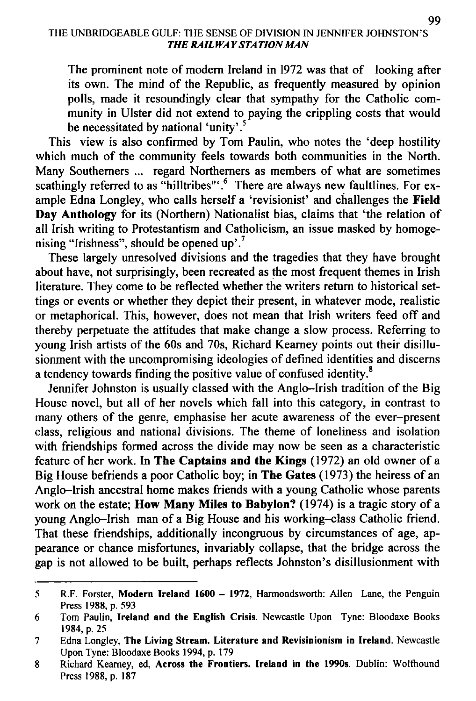The prominent note of modern Ireland in 1972 was that of looking after its own. The mind of the Republic, as frequently measured by opinion polls, made it resoundingly clear that sympathy for the Catholic community in Ulster did not extend to paying the crippling costs that would be necessitated by national 'unity'.<sup>5</sup>

This view is also confirmed by Tom Paulin, who notes the 'deep hostility which much of the community feels towards both communities in the North. Many Southerners ... regard Northerners as members of what are sometimes scathingly referred to as "hilltribes"'.<sup>o</sup> There are always new faultlines. For example Edna Longley, who calls herself a 'revisionist' and challenges the **Field Day Anthology** for its (Northern) Nationalist bias, claims that 'the relation of all Irish writing to Protestantism and Catholicism, an issue masked by homogenising "Irishness", should be opened up'.<sup>7</sup>

These largely unresolved divisions and the tragedies that they have brought about have, not surprisingly, been recreated as the most frequent themes in Irish literature. They come to be reflected whether the writers return to historical settings or events or whether they depict their present, in whatever mode, realistic or metaphorical. This, however, does not mean that Irish writers feed off and thereby perpetuate the attitudes that make change a slow process. Referring to young Irish artists of the 60s and 70s, Richard Kearney points out their disillusionment with the uncompromising ideologies of defined identities and discerns a tendency towards finding the positive value of confused identity.<sup>8</sup>

Jennifer Johnston is usually classed with the Anglo-Irish tradition of the Big House novel, but all of her novels which fall into this category, in contrast to many others of the genre, emphasise her acute awareness of the ever-present class, religious and national divisions. The theme of loneliness and isolation with friendships formed across the divide may now be seen as a characteristic feature of her work. In **The Captains and the Kings** (1972) an old owner of a Big House befriends a poor Catholic boy; in **The Gates** (1973) the heiress of an Anglo-Irish ancestral home makes friends with a young Catholic whose parents work on the estate; **How Many Miles to Babylon?** (1974) is a tragic story of a young Anglo-Irish man of a Big House and his working-class Catholic friend. That these friendships, additionally incongruous by circumstances of age, appearance or chance misfortunes, invariably collapse, that the bridge across the gap is not allowed to be built, perhaps reflects Johnston's disillusionment with

<sup>5</sup> R.F. Forster, **Modern Ireland 1600 - 1972,** Harmondsworth: Allen Lane, the Penguin Press 1988, p. 593

<sup>6</sup> Tom Paulin, **Ireland and the English Crisis.** Newcastle Upon Tyne: Bloodaxe Books 1984, p. 25

<sup>7</sup> Edna Longley, **The Living Stream. Literature and Revisinionism in Ireland.** Newcastle Upon Tyne: Bloodaxe Books 1994, p. 179

<sup>8</sup> Richard Kearney, ed, **Across the Frontiers. Ireland in the 1990s.** Dublin: Wolfhound Press 1988, p. 187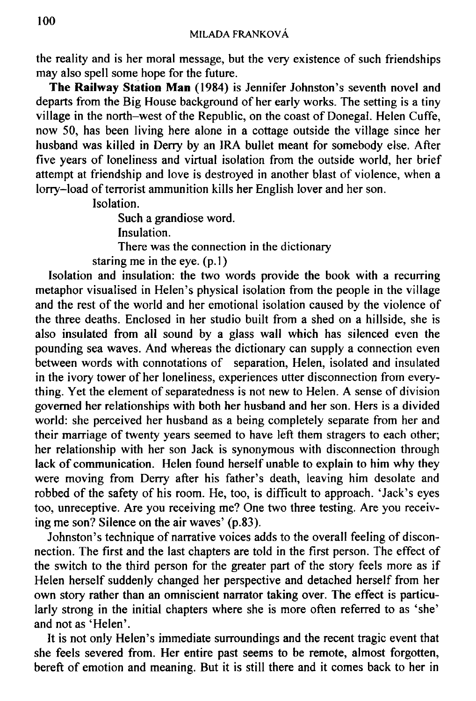the reality and is her moral message, but the very existence of such friendships may also spell some hope for the future.

**The Railway Station Man** (1984) is Jennifer Johnston's seventh novel and departs from the Big House background of her early works. The setting is a tiny village in the north-west of the Republic, on the coast of Donegal. Helen Cuffe, now 50, has been living here alone in a cottage outside the village since her husband was killed in Derry by an IRA bullet meant for somebody else. After five years of loneliness and virtual isolation from the outside world, her brief attempt at friendship and love is destroyed in another blast of violence, when a lorry-load of terrorist ammunition kills her English lover and her son.

Isolation.

Such a grandiose word. Insulation. There was the connection in the dictionary staring me in the eye.  $(p, 1)$ 

Isolation and insulation: the two words provide the book with a recurring metaphor visualised in Helen's physical isolation from the people in the village and the rest of the world and her emotional isolation caused by the violence of the three deaths. Enclosed in her studio built from a shed on a hillside, she is also insulated from all sound by a glass wall which has silenced even the pounding sea waves. And whereas the dictionary can supply a connection even between words with connotations of separation, Helen, isolated and insulated in the ivory tower of her loneliness, experiences utter disconnection from everything. Yet the element of separatedness is not new to Helen. A sense of division governed her relationships with both her husband and her son. Hers is a divided world: she perceived her husband as a being completely separate from her and their marriage of twenty years seemed to have left them stragers to each other; her relationship with her son Jack is synonymous with disconnection through lack of communication. Helen found herself unable to explain to him why they were moving from Derry after his father's death, leaving him desolate and robbed of the safety of his room. He, too, is difficult to approach. 'Jack's eyes too, unreceptive. Are you receiving me? One two three testing. Are you receiving me son? Silence on the air waves' (p.83).

Johnston's technique of narrative voices adds to the overall feeling of disconnection. The first and the last chapters are told in the first person. The effect of the switch to the third person for the greater part of the story feels more as if Helen herself suddenly changed her perspective and detached herself from her own story rather than an omniscient narrator taking over. The effect is particularly strong in the initial chapters where she is more often referred to as 'she' and not as 'Helen'.

It is not only Helen's immediate surroundings and the recent tragic event that she feels severed from. Her entire past seems to be remote, almost forgotten, bereft of emotion and meaning. But it is still there and it comes back to her in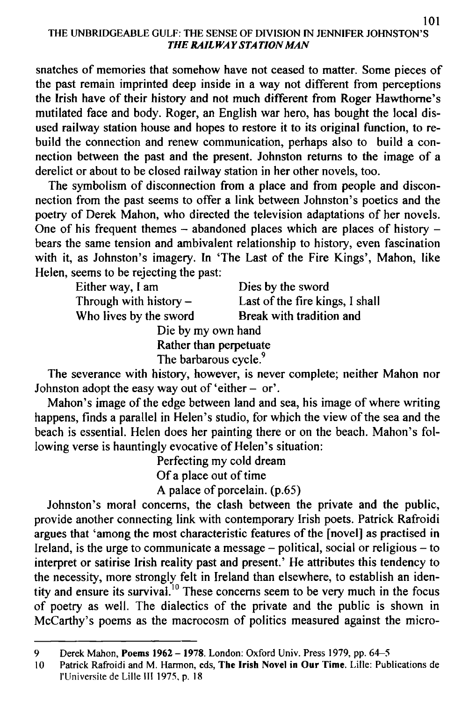## THE UNBRIDGEABLE GULF. THE SENSE OF DIVISION IN JENNIFER JOHNSTON'S *THE RAILWAYSTA TION MAN*

snatches of memories that somehow have not ceased to matter. Some pieces of the past remain imprinted deep inside in a way not different from perceptions the Irish have of their history and not much different from Roger Hawthorne's mutilated face and body. Roger, an English war hero, has bought the local disused railway station house and hopes to restore it to its original function, to rebuild the connection and renew communication, perhaps also to build a connection between the past and the present. Johnston returns to the image of a derelict or about to be closed railway station in her other novels, too.

The symbolism of disconnection from a place and from people and disconnection from the past seems to offer a link between Johnston's poetics and the poetry of Derek Mahon, who directed the television adaptations of her novels. One of his frequent themes - abandoned places which are places of history bears the same tension and ambivalent relationship to history, even fascination with it, as Johnston's imagery. In 'The Last of the Fire Kings', Mahon, like Helen, seems to be rejecting the past:

| Either way, I am         | Dies by the sword               |
|--------------------------|---------------------------------|
| Through with history $-$ | Last of the fire kings, I shall |
| Who lives by the sword   | Break with tradition and        |
| Die by my own hand       |                                 |
| Rather than perpetuate   |                                 |

The barbarous cycle.<sup>9</sup>

The severance with history, however, is never complete; neither Mahon nor Johnston adopt the easy way out of 'either  $-$  or'.

Mahon's image of the edge between land and sea, his image of where writing happens, finds a parallel in Helen's studio, for which the view of the sea and the beach is essential. Helen does her painting there or on the beach. Mahon's following verse is hauntingly evocative of Helen's situation:

> Perfecting my cold dream Of a place out of time A palace of porcelain, (p.65)

Johnston's moral concerns, the clash between the private and the public, provide another connecting link with contemporary Irish poets. Patrick Rafroidi argues that 'among the most characteristic features of the [novel] as practised in Ireland, is the urge to communicate a message  $-$  political, social or religious  $-$  to interpret or satirise Irish reality past and present.' He attributes this tendency to the necessity, more strongly felt in Ireland than elsewhere, to establish an identity and ensure its survival.<sup>10</sup> These concerns seem to be very much in the focus of poetry as well. The dialectics of the private and the public is shown in McCarthy's poems as the macrocosm of politics measured against the micro-

<sup>9</sup> Derek Mahon, **Poems 1962 - 1978.** London: Oxford Univ. Press 1979, pp. 64-5

<sup>10</sup> Patrick Rafroidi and M . Harmon, eds, **The Irish Novel in Our Time.** Lille: Publications de I'Universite de Lille III 1975, p. 18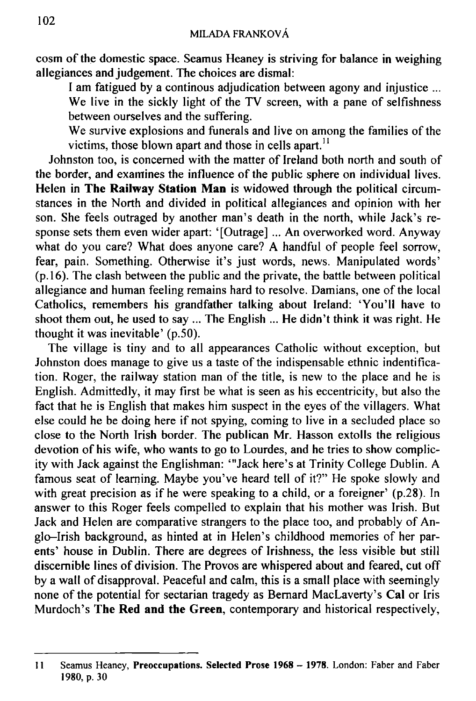cosm of the domestic space. Seamus Heaney is striving for balance in weighing allegiances and judgement. The choices are dismal:

I am fatigued by a continous adjudication between agony and injustice ...

We live in the sickly light of the TV screen, with a pane of selfishness between ourselves and the suffering.

We survive explosions and funerals and live on among the families of the victims, those blown apart and those in cells apart."

Johnston too, is concerned with the matter of Ireland both north and south of the border, and examines the influence of the public sphere on individual lives. Helen in **The Railway Station Man** is widowed through the political circumstances in the North and divided in political allegiances and opinion with her son. She feels outraged by another man's death in the north, while Jack's response sets them even wider apart: '[Outrage] ... An overworked word. Anyway what do you care? What does anyone care? A handful of people feel sorrow, fear, pain. Something. Otherwise it's just words, news. Manipulated words' (p. 16). The clash between the public and the private, the battle between political allegiance and human feeling remains hard to resolve. Damians, one of the local Catholics, remembers his grandfather talking about Ireland: 'You'll have to shoot them out, he used to say ... The English ... He didn't think it was right. He thought it was inevitable' (p.50).

The village is tiny and to all appearances Catholic without exception, but Johnston does manage to give us a taste of the indispensable ethnic indentification. Roger, the railway station man of the title, is new to the place and he is English. Admittedly, it may first be what is seen as his eccentricity, but also the fact that he is English that makes him suspect in the eyes of the villagers. What else could he be doing here if not spying, coming to live in a secluded place so close to the North Irish border. The publican Mr. Hasson extolls the religious devotion of his wife, who wants to go to Lourdes, and he tries to show complicity with Jack against the Englishman: '"Jack here's at Trinity College Dublin. A famous seat of learning. Maybe you've heard tell of it?" He spoke slowly and with great precision as if he were speaking to a child, or a foreigner' (p.28). In answer to this Roger feels compelled to explain that his mother was Irish. But Jack and Helen are comparative strangers to the place too, and probably of Anglo-Irish background, as hinted at in Helen's childhood memories of her parents' house in Dublin. There are degrees of Irishness, the less visible but still discernible lines of division. The Provos are whispered about and feared, cut off by a wall of disapproval. Peaceful and calm, this is a small place with seemingly none of the potential for sectarian tragedy as Bernard MacLaverty's **Cal** or Iris Murdoch's **The Red and the Green,** contemporary and historical respectively,

<sup>11</sup> Seamus Heaney, **Preoccupations. Selected Prose 1968 - 1978.** London: Faber and Faber 1980, **p.** 30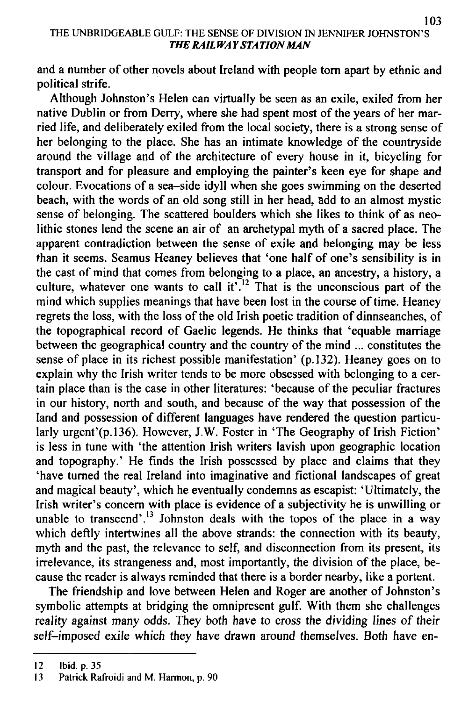## THE UNBRIDGEABLE GULF: THE SENSE OF DIVISION IN JENNIFER JOHNSTON'S *THE RAILWAY STA TION MAN*

and a number of other novels about Ireland with people torn apart by ethnic and political strife.

Although Johnston's Helen can virtually be seen as an exile, exiled from her native Dublin or from Derry, where she had spent most of the years of her married life, and deliberately exiled from the local society, there is a strong sense of her belonging to the place. She has an intimate knowledge of the countryside around the village and of the architecture of every house in it, bicycling for transport and for pleasure and employing the painter's keen eye for shape and colour. Evocations of a sea-side idyll when she goes swimming on the deserted beach, with the words of an old song still in her head, add to an almost mystic sense of belonging. The scattered boulders which she likes to think of as neolithic stones lend the scene an air of an archetypal myth of a sacred place. The apparent contradiction between the sense of exile and belonging may be less than it seems. Seamus Heaney believes that 'one half of one's sensibility is in the cast of mind that comes from belonging to a place, an ancestry, a history, a culture, whatever one wants to call it<sup> $1.12$ </sup> That is the unconscious part of the mind which supplies meanings that have been lost in the course of time. Heaney regrets the loss, with the loss of the old Irish poetic tradition of dinnseanches, of the topographical record of Gaelic legends. He thinks that 'equable marriage between the geographical country and the country of the mind ... constitutes the sense of place in its richest possible manifestation' (p. 132). Heaney goes on to explain why the Irish writer tends to be more obsessed with belonging to a certain place than is the case in other literatures: 'because of the peculiar fractures in our history, north and south, and because of the way that possession of the land and possession of different languages have rendered the question particularly urgent'(p.l36). However, J.W. Foster in 'The Geography of Irish Fiction' is less in tune with 'the attention Irish writers lavish upon geographic location and topography.' He finds the Irish possessed by place and claims that they 'have turned the real Ireland into imaginative and fictional landscapes of great and magical beauty', which he eventually condemns as escapist: 'Ultimately, the Irish writer's concern with place is evidence of a subjectivity he is unwilling or unable to transcend'.<sup>13</sup> Johnston deals with the topos of the place in a way which deftly intertwines all the above strands: the connection with its beauty, myth and the past, the relevance to self, and disconnection from its present, its irrelevance, its strangeness and, most importantly, the division of the place, because the reader is always reminded that there is a border nearby, like a portent.

The friendship and love between Helen and Roger are another of Johnston's symbolic attempts at bridging the omnipresent gulf. With them she challenges reality against many odds. They both have to cross the dividing lines of their self-imposed exile which they have drawn around themselves. Both have en-

<sup>12</sup> Ibid. p. 35

<sup>13</sup> Patrick Rafroidi and M. Harmon, p. 90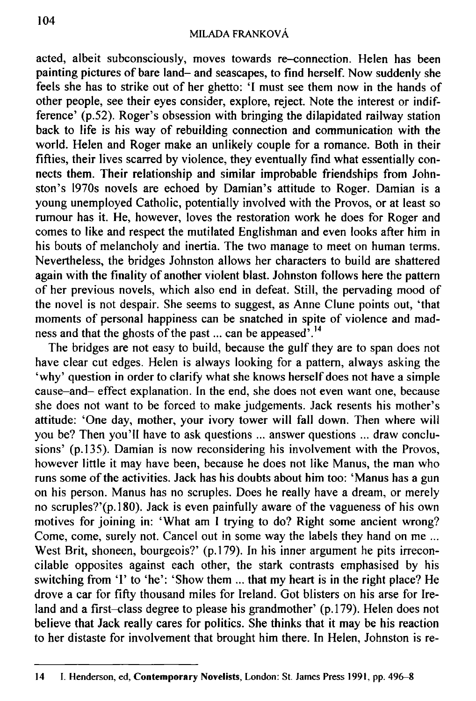acted, albeit subconsciously, moves towards re-connection. Helen has been painting pictures of bare land- and seascapes, to find herself. Now suddenly she feels she has to strike out of her ghetto: 'I must see them now in the hands of other people, see their eyes consider, explore, reject. Note the interest or indifference' (p.52). Roger's obsession with bringing the dilapidated railway station back to life is his way of rebuilding connection and communication with the world. Helen and Roger make an unlikely couple for a romance. Both in their fifties, their lives scarred by violence, they eventually find what essentially connects them. Their relationship and similar improbable friendships from Johnston's 1970s novels are echoed by Damian's attitude to Roger. Damian is a young unemployed Catholic, potentially involved with the Provos, or at least so rumour has it. He, however, loves the restoration work he does for Roger and comes to like and respect the mutilated Englishman and even looks after him in his bouts of melancholy and inertia. The two manage to meet on human terms. Nevertheless, the bridges Johnston allows her characters to build are shattered again with the finality of another violent blast. Johnston follows here the pattern of her previous novels, which also end in defeat. Still, the pervading mood of the novel is not despair. She seems to suggest, as Anne Clune points out, 'that moments of personal happiness can be snatched in spite of violence and madness and that the ghosts of the past ... can be appeased<sup>7</sup>.<sup>14</sup>

The bridges are not easy to build, because the gulf they are to span does not have clear cut edges. Helen is always looking for a pattern, always asking the 'why' question in order to clarify what she knows herself does not have a simple cause-and- effect explanation. In the end, she does not even want one, because she does not want to be forced to make judgements. Jack resents his mother's attitude: 'One day, mother, your ivory tower will fall down. Then where will you be? Then you'll have to ask questions ... answer questions ... draw conclusions' (p.135). Damian is now reconsidering his involvement with the Provos, however little it may have been, because he does not like Manus, the man who runs some of the activities. Jack has his doubts about him too: 'Manus has a gun on his person. Manus has no scruples. Does he really have a dream, or merely no scruples?'(p.l80). Jack is even painfully aware of the vagueness of his own motives for joining in: 'What am I trying to do? Right some ancient wrong? Come, come, surely not. Cancel out in some way the labels they hand on me ... West Brit, shoneen, bourgeois?' (p.179). In his inner argument he pits irreconcilable opposites against each other, the stark contrasts emphasised by his switching from '1' to 'he': 'Show them ... that my heart is in the right place? He drove a car for fifty thousand miles for Ireland. Got blisters on his arse for Ireland and a first-class degree to please his grandmother' (p.179). Helen does not believe that Jack really cares for politics. She thinks that it may be his reaction to her distaste for involvement that brought him there. In Helen, Johnston is re-

<sup>14</sup> **I.** Henderson, ed, **Contemporary Novelists,** London: St. James Press 1991, pp. 496-8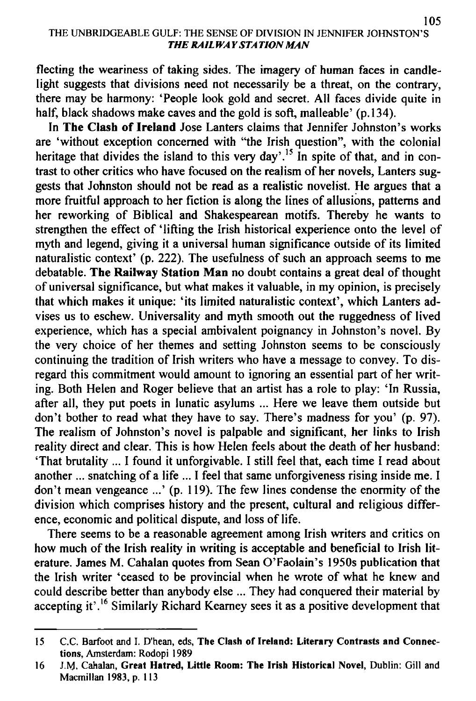flecting the weariness of taking sides. The imagery of human faces in candlelight suggests that divisions need not necessarily be a threat, on the contrary, there may be harmony: 'People look gold and secret. All faces divide quite in half, black shadows make caves and the gold is soft, malleable' (p.134).

In **The Clash of Ireland** Jose Lanters claims that Jennifer Johnston's works are 'without exception concerned with "the Irish question", with the colonial heritage that divides the island to this very day'.<sup>15</sup> In spite of that, and in contrast to other critics who have focused on the realism of her novels, Lanters suggests that Johnston should not be read as a realistic novelist. He argues that a more fruitful approach to her fiction is along the lines of allusions, patterns and her reworking of Biblical and Shakespearean motifs. Thereby he wants to strengthen the effect of 'lifting the Irish historical experience onto the level of myth and legend, giving it a universal human significance outside of its limited naturalistic context' (p. 222). The usefulness of such an approach seems to me debatable. **The Railway Station Man** no doubt contains a great deal of thought of universal significance, but what makes it valuable, in my opinion, is precisely that which makes it unique: 'its limited naturalistic context', which Lanters advises us to eschew. Universality and myth smooth out the ruggedness of lived experience, which has a special ambivalent poignancy in Johnston's novel. By the very choice of her themes and setting Johnston seems to be consciously continuing the tradition of Irish writers who have a message to convey. To disregard this commitment would amount to ignoring an essential part of her writing. Both Helen and Roger believe that an artist has a role to play: 'In Russia, after all, they put poets in lunatic asylums ... Here we leave them outside but don't bother to read what they have to say. There's madness for you' (p. 97). The realism of Johnston's novel is palpable and significant, her links to Irish reality direct and clear. This is how Helen feels about the death of her husband: 'That brutality ... I found it unforgivable. I still feel that, each time I read about another ... snatching of a life ... I feel that same unforgiveness rising inside me. I don't mean vengeance ...' (p. 119). The few lines condense the enormity of the division which comprises history and the present, cultural and religious difference, economic and political dispute, and loss of life.

There seems to be a reasonable agreement among Irish writers and critics on how much of the Irish reality in writing is acceptable and beneficial to Irish literature. James M. Cahalan quotes from Sean O'Faolain's 1950s publication that the Irish writer 'ceased to be provincial when he wrote of what he knew and could describe better than anybody else ... They had conquered their material by accepting it'.<sup>16</sup> Similarly Richard Kearney sees it as a positive development that

<sup>15</sup> C.C. Barfoot and I. D'hean, eds, **The Clash of Ireland: Literary Contrasts and Connections,** Amsterdam: Rodopi 1989

<sup>16</sup> J.M. Cahalan, **Great Hatred, Little Room: The Irish Historical Novel,** Dublin: Gill and Macmillan 1983, p. 113